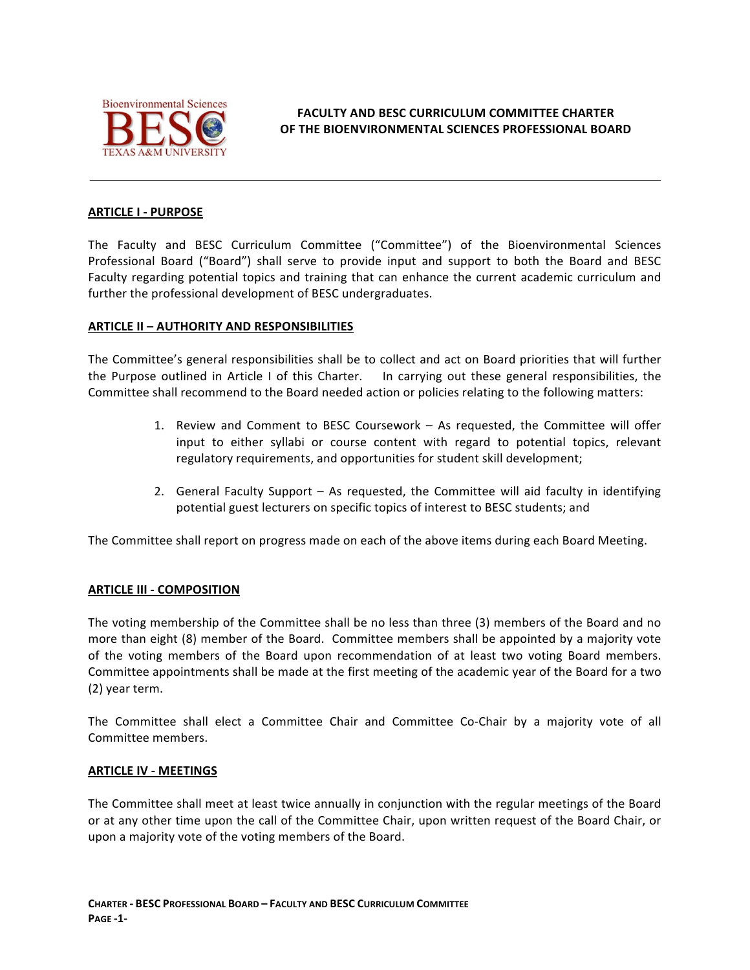

# **ARTICLE I - PURPOSE**

The Faculty and BESC Curriculum Committee ("Committee") of the Bioenvironmental Sciences Professional Board ("Board") shall serve to provide input and support to both the Board and BESC Faculty regarding potential topics and training that can enhance the current academic curriculum and further the professional development of BESC undergraduates.

# **ARTICLE II - AUTHORITY AND RESPONSIBILITIES**

The Committee's general responsibilities shall be to collect and act on Board priorities that will further the Purpose outlined in Article I of this Charter. In carrying out these general responsibilities, the Committee shall recommend to the Board needed action or policies relating to the following matters:

- 1. Review and Comment to BESC Coursework As requested, the Committee will offer input to either syllabi or course content with regard to potential topics, relevant regulatory requirements, and opportunities for student skill development;
- 2. General Faculty Support As requested, the Committee will aid faculty in identifying potential guest lecturers on specific topics of interest to BESC students; and

The Committee shall report on progress made on each of the above items during each Board Meeting.

# **ARTICLE III - COMPOSITION**

The voting membership of the Committee shall be no less than three (3) members of the Board and no more than eight (8) member of the Board. Committee members shall be appointed by a majority vote of the voting members of the Board upon recommendation of at least two voting Board members. Committee appointments shall be made at the first meeting of the academic year of the Board for a two (2) year term. 

The Committee shall elect a Committee Chair and Committee Co-Chair by a majority vote of all Committee members.

### **ARTICLE IV - MEETINGS**

The Committee shall meet at least twice annually in conjunction with the regular meetings of the Board or at any other time upon the call of the Committee Chair, upon written request of the Board Chair, or upon a majority vote of the voting members of the Board.